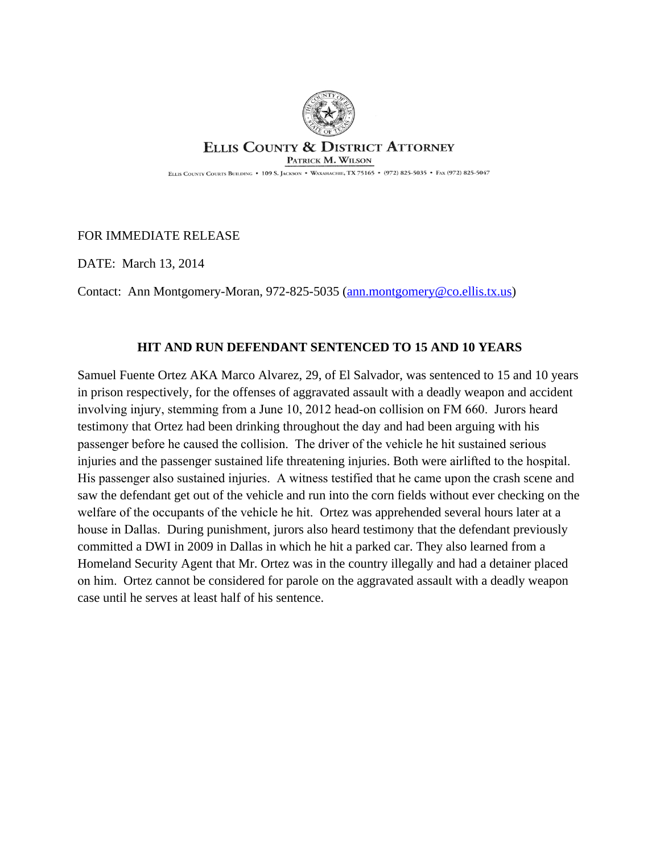

## **ELLIS COUNTY & DISTRICT ATTORNEY** PATRICK M. WILSON

ELLIS COUNTY COURTS BUILDING . 109 S. JACKSON . WAXAHACHIE, TX 75165 . (972) 825-5035 . FAX (972) 825-5047

## FOR IMMEDIATE RELEASE

DATE: March 13, 2014

Contact: Ann Montgomery-Moran, 972-825-5035 ([ann.montgomery@co.ellis.tx.us\)](mailto:ann.montgomery@co.ellis.tx.us)

## **HIT AND RUN DEFENDANT SENTENCED TO 15 AND 10 YEARS**

Samuel Fuente Ortez AKA Marco Alvarez, 29, of El Salvador, was sentenced to 15 and 10 years in prison respectively, for the offenses of aggravated assault with a deadly weapon and accident involving injury, stemming from a June 10, 2012 head-on collision on FM 660. Jurors heard testimony that Ortez had been drinking throughout the day and had been arguing with his passenger before he caused the collision. The driver of the vehicle he hit sustained serious injuries and the passenger sustained life threatening injuries. Both were airlifted to the hospital. His passenger also sustained injuries. A witness testified that he came upon the crash scene and saw the defendant get out of the vehicle and run into the corn fields without ever checking on the welfare of the occupants of the vehicle he hit. Ortez was apprehended several hours later at a house in Dallas. During punishment, jurors also heard testimony that the defendant previously committed a DWI in 2009 in Dallas in which he hit a parked car. They also learned from a Homeland Security Agent that Mr. Ortez was in the country illegally and had a detainer placed on him. Ortez cannot be considered for parole on the aggravated assault with a deadly weapon case until he serves at least half of his sentence.